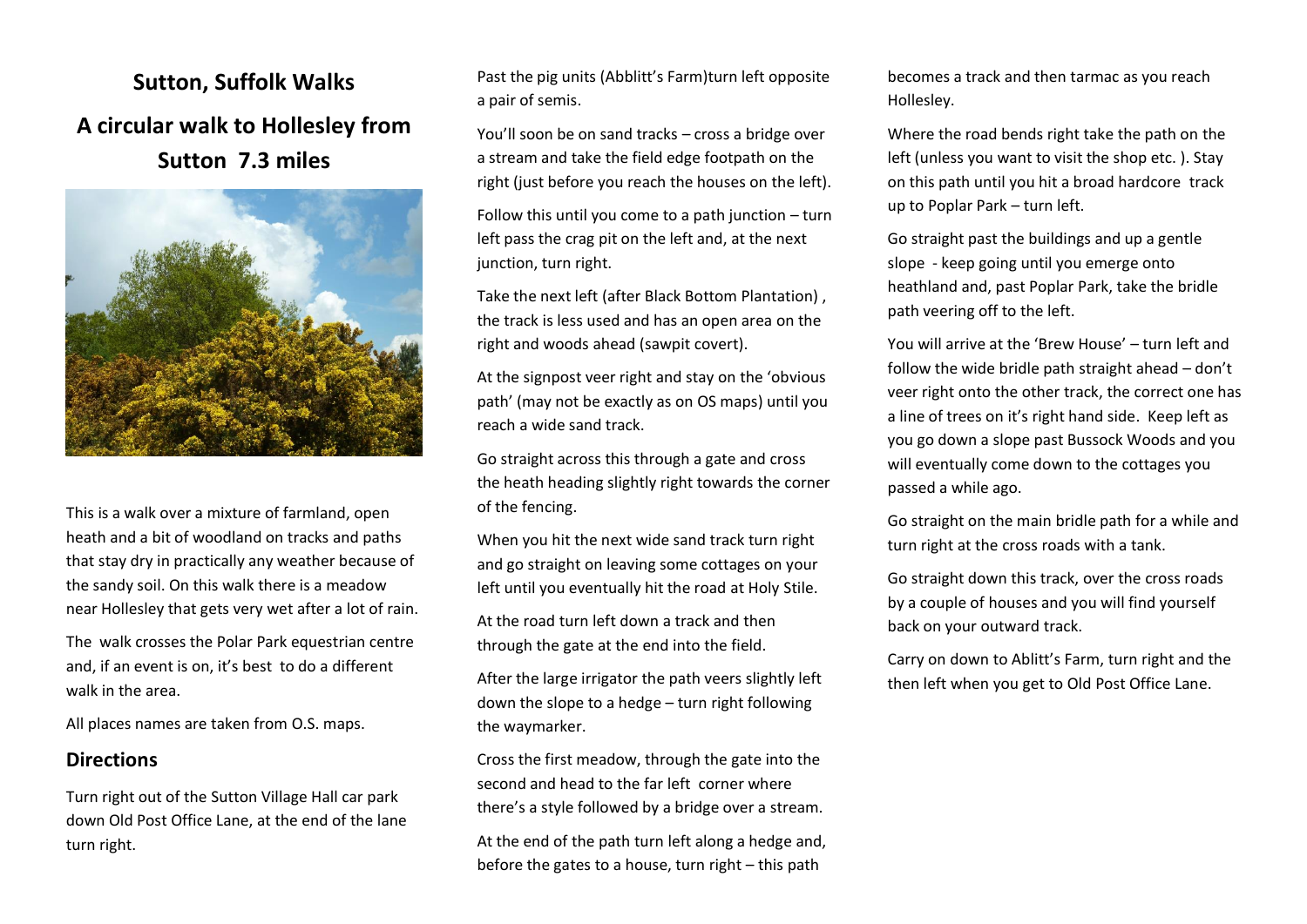**Sutton, Suffolk Walks A circular walk to Hollesley from Sutton 7.3 miles**



This is a walk over a mixture of farmland, open heath and a bit of woodland on tracks and paths that stay dry in practically any weather because of the sandy soil. On this walk there is a meadow near Hollesley that gets very wet after a lot of rain.

The walk crosses the Polar Park equestrian centre and, if an event is on, it's best to do a different walk in the area.

All places names are taken from O.S. maps.

## **Directions**

Turn right out of the Sutton Village Hall car park down Old Post Office Lane, at the end of the lane turn right.

Past the pig units (Abblitt's Farm)turn left opposite a pair of semis.

You'll soon be on sand tracks – cross a bridge over a stream and take the field edge footpath on the right (just before you reach the houses on the left).

Follow this until you come to a path junction – turn left pass the crag pit on the left and, at the next junction, turn right.

Take the next left (after Black Bottom Plantation) , the track is less used and has an open area on the right and woods ahead (sawpit covert).

At the signpost veer right and stay on the 'obvious path' (may not be exactly as on OS maps) until you reach a wide sand track.

Go straight across this through a gate and cross the heath heading slightly right towards the corner of the fencing.

When you hit the next wide sand track turn right and go straight on leaving some cottages on your left until you eventually hit the road at Holy Stile.

At the road turn left down a track and then through the gate at the end into the field.

After the large irrigator the path veers slightly left down the slope to a hedge – turn right following the waymarker.

Cross the first meadow, through the gate into the second and head to the far left corner where there's a style followed by a bridge over a stream.

At the end of the path turn left along a hedge and, before the gates to a house, turn right – this path

becomes a track and then tarmac as you reach Hollesley.

Where the road bends right take the path on the left (unless you want to visit the shop etc. ). Stay on this path until you hit a broad hardcore track up to Poplar Park – turn left.

Go straight past the buildings and up a gentle slope - keep going until you emerge onto heathland and, past Poplar Park, take the bridle path veering off to the left.

You will arrive at the 'Brew House' – turn left and follow the wide bridle path straight ahead – don't veer right onto the other track, the correct one has a line of trees on it's right hand side. Keep left as you go down a slope past Bussock Woods and you will eventually come down to the cottages you passed a while ago.

Go straight on the main bridle path for a while and turn right at the cross roads with a tank.

Go straight down this track, over the cross roads by a couple of houses and you will find yourself back on your outward track.

Carry on down to Ablitt's Farm, turn right and the then left when you get to Old Post Office Lane.